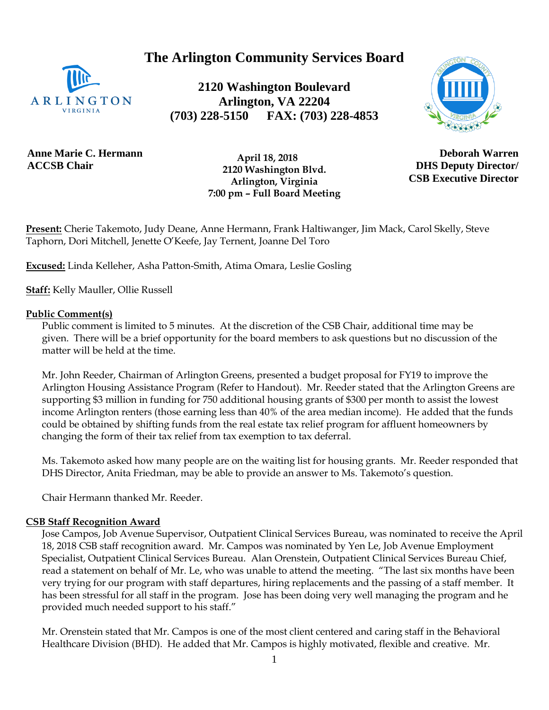**The Arlington Community Services Board**



**2120 Washington Boulevard Arlington, VA 22204 (703) 228-5150 FAX: (703) 228-4853**



**Anne Marie C. Hermann ACCSB Chair**

 **April 18, 2018 2120 Washington Blvd. Arlington, Virginia 7:00 pm – Full Board Meeting**

**Deborah Warren DHS Deputy Director/ CSB Executive Director**

**Present:** Cherie Takemoto, Judy Deane, Anne Hermann, Frank Haltiwanger, Jim Mack, Carol Skelly, Steve Taphorn, Dori Mitchell, Jenette O'Keefe, Jay Ternent, Joanne Del Toro

**Excused:** Linda Kelleher, Asha Patton-Smith, Atima Omara, Leslie Gosling

**Staff:** Kelly Mauller, Ollie Russell

#### **Public Comment(s)**

Public comment is limited to 5 minutes. At the discretion of the CSB Chair, additional time may be given. There will be a brief opportunity for the board members to ask questions [but](http://but.no/) no discussion of the matter will be held at the time.

Mr. John Reeder, Chairman of Arlington Greens, presented a budget proposal for FY19 to improve the Arlington Housing Assistance Program (Refer to Handout). Mr. Reeder stated that the Arlington Greens are supporting \$3 million in funding for 750 additional housing grants of \$300 per month to assist the lowest income Arlington renters (those earning less than 40% of the area median income). He added that the funds could be obtained by shifting funds from the real estate tax relief program for affluent homeowners by changing the form of their tax relief from tax exemption to tax deferral.

Ms. Takemoto asked how many people are on the waiting list for housing grants. Mr. Reeder responded that DHS Director, Anita Friedman, may be able to provide an answer to Ms. Takemoto's question.

Chair Hermann thanked Mr. Reeder.

### **CSB Staff Recognition Award**

Jose Campos, Job Avenue Supervisor, Outpatient Clinical Services Bureau, was nominated to receive the April 18, 2018 CSB staff recognition award. Mr. Campos was nominated by Yen Le, Job Avenue Employment Specialist, Outpatient Clinical Services Bureau. Alan Orenstein, Outpatient Clinical Services Bureau Chief, read a statement on behalf of Mr. Le, who was unable to attend the meeting. "The last six months have been very trying for our program with staff departures, hiring replacements and the passing of a staff member. It has been stressful for all staff in the program. Jose has been doing very well managing the program and he provided much needed support to his staff."

Mr. Orenstein stated that Mr. Campos is one of the most client centered and caring staff in the Behavioral Healthcare Division (BHD). He added that Mr. Campos is highly motivated, flexible and creative. Mr.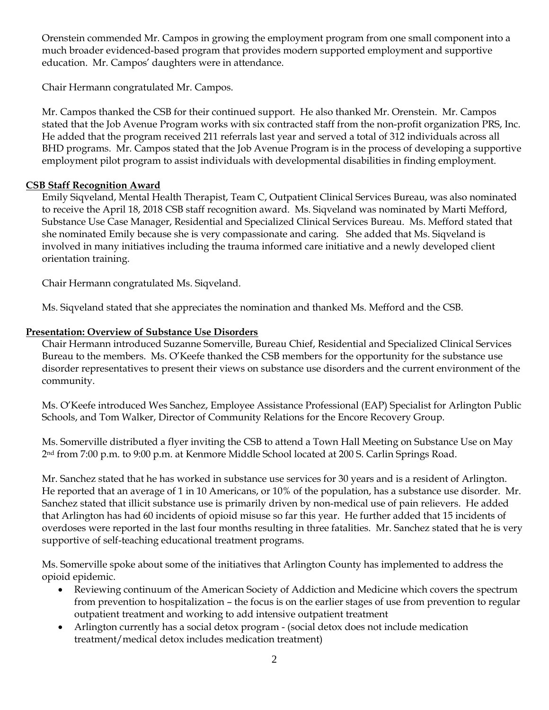Orenstein commended Mr. Campos in growing the employment program from one small component into a much broader evidenced-based program that provides modern supported employment and supportive education. Mr. Campos' daughters were in attendance.

Chair Hermann congratulated Mr. Campos.

Mr. Campos thanked the CSB for their continued support. He also thanked Mr. Orenstein. Mr. Campos stated that the Job Avenue Program works with six contracted staff from the non-profit organization PRS, Inc. He added that the program received 211 referrals last year and served a total of 312 individuals across all BHD programs. Mr. Campos stated that the Job Avenue Program is in the process of developing a supportive employment pilot program to assist individuals with developmental disabilities in finding employment.

### **CSB Staff Recognition Award**

Emily Siqveland, Mental Health Therapist, Team C, Outpatient Clinical Services Bureau, was also nominated to receive the April 18, 2018 CSB staff recognition award. Ms. Siqveland was nominated by Marti Mefford, Substance Use Case Manager, Residential and Specialized Clinical Services Bureau. Ms. Mefford stated that she nominated Emily because she is very compassionate and caring. She added that Ms. Siqveland is involved in many initiatives including the trauma informed care initiative and a newly developed client orientation training.

Chair Hermann congratulated Ms. Siqveland.

Ms. Siqveland stated that she appreciates the nomination and thanked Ms. Mefford and the CSB.

### **Presentation: Overview of Substance Use Disorders**

Chair Hermann introduced Suzanne Somerville, Bureau Chief, Residential and Specialized Clinical Services Bureau to the members. Ms. O'Keefe thanked the CSB members for the opportunity for the substance use disorder representatives to present their views on substance use disorders and the current environment of the community.

Ms. O'Keefe introduced Wes Sanchez, Employee Assistance Professional (EAP) Specialist for Arlington Public Schools, and Tom Walker, Director of Community Relations for the Encore Recovery Group.

Ms. Somerville distributed a flyer inviting the CSB to attend a Town Hall Meeting on Substance Use on May 2nd from 7:00 p.m. to 9:00 p.m. at Kenmore Middle School located at 200 S. Carlin Springs Road.

Mr. Sanchez stated that he has worked in substance use services for 30 years and is a resident of Arlington. He reported that an average of 1 in 10 Americans, or 10% of the population, has a substance use disorder. Mr. Sanchez stated that illicit substance use is primarily driven by non-medical use of pain relievers. He added that Arlington has had 60 incidents of opioid misuse so far this year. He further added that 15 incidents of overdoses were reported in the last four months resulting in three fatalities. Mr. Sanchez stated that he is very supportive of self-teaching educational treatment programs.

Ms. Somerville spoke about some of the initiatives that Arlington County has implemented to address the opioid epidemic.

- Reviewing continuum of the American Society of Addiction and Medicine which covers the spectrum from prevention to hospitalization – the focus is on the earlier stages of use from prevention to regular outpatient treatment and working to add intensive outpatient treatment
- Arlington currently has a social detox program (social detox does not include medication treatment/medical detox includes medication treatment)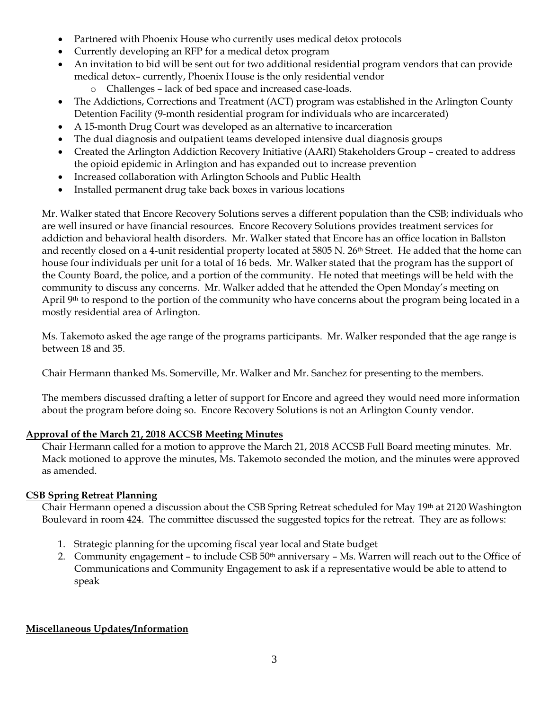- Partnered with Phoenix House who currently uses medical detox protocols
- Currently developing an RFP for a medical detox program
- An invitation to bid will be sent out for two additional residential program vendors that can provide medical detox– currently, Phoenix House is the only residential vendor
	- o Challenges lack of bed space and increased case-loads.
- The Addictions, Corrections and Treatment (ACT) program was established in the Arlington County Detention Facility (9-month residential program for individuals who are incarcerated)
- A 15-month Drug Court was developed as an alternative to incarceration
- The dual diagnosis and outpatient teams developed intensive dual diagnosis groups
- Created the Arlington Addiction Recovery Initiative (AARI) Stakeholders Group created to address the opioid epidemic in Arlington and has expanded out to increase prevention
- Increased collaboration with Arlington Schools and Public Health
- Installed permanent drug take back boxes in various locations

Mr. Walker stated that Encore Recovery Solutions serves a different population than the CSB; individuals who are well insured or have financial resources. Encore Recovery Solutions provides treatment services for addiction and behavioral health disorders. Mr. Walker stated that Encore has an office location in Ballston and recently closed on a 4-unit residential property located at 5805 N. 26<sup>th</sup> Street. He added that the home can house four individuals per unit for a total of 16 beds. Mr. Walker stated that the program has the support of the County Board, the police, and a portion of the community. He noted that meetings will be held with the community to discuss any concerns. Mr. Walker added that he attended the Open Monday's meeting on April 9<sup>th</sup> to respond to the portion of the community who have concerns about the program being located in a mostly residential area of Arlington.

Ms. Takemoto asked the age range of the programs participants. Mr. Walker responded that the age range is between 18 and 35.

Chair Hermann thanked Ms. Somerville, Mr. Walker and Mr. Sanchez for presenting to the members.

The members discussed drafting a letter of support for Encore and agreed they would need more information about the program before doing so. Encore Recovery Solutions is not an Arlington County vendor.

# **Approval of the March 21, 2018 ACCSB Meeting Minutes**

Chair Hermann called for a motion to approve the March 21, 2018 ACCSB Full Board meeting minutes. Mr. Mack motioned to approve the minutes, Ms. Takemoto seconded the motion, and the minutes were approved as amended.

## **CSB Spring Retreat Planning**

Chair Hermann opened a discussion about the CSB Spring Retreat scheduled for May 19th at 2120 Washington Boulevard in room 424. The committee discussed the suggested topics for the retreat. They are as follows:

- 1. Strategic planning for the upcoming fiscal year local and State budget
- 2. Community engagement to include CSB  $50<sup>th</sup>$  anniversary Ms. Warren will reach out to the Office of Communications and Community Engagement to ask if a representative would be able to attend to speak

## **Miscellaneous Updates/Information**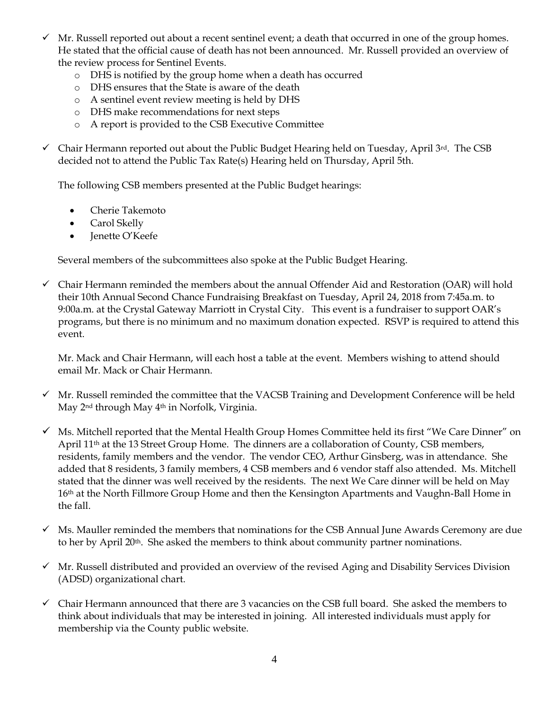- $\checkmark$  Mr. Russell reported out about a recent sentinel event; a death that occurred in one of the group homes. He stated that the official cause of death has not been announced. Mr. Russell provided an overview of the review process for Sentinel Events.
	- o DHS is notified by the group home when a death has occurred
	- o DHS ensures that the State is aware of the death
	- o A sentinel event review meeting is held by DHS
	- o DHS make recommendations for next steps
	- o A report is provided to the CSB Executive Committee

 $\checkmark$  Chair Hermann reported out about the Public Budget Hearing held on Tuesday, April 3<sup>rd</sup>. The CSB decided not to attend the Public Tax Rate(s) Hearing held on Thursday, April 5th.

The following CSB members presented at the Public Budget hearings:

- Cherie Takemoto
- Carol Skelly
- Jenette O'Keefe

Several members of the subcommittees also spoke at the Public Budget Hearing.

 $\checkmark$  Chair Hermann reminded the members about the annual Offender Aid and Restoration (OAR) will hold their 10th Annual Second Chance Fundraising Breakfast on Tuesday, April 24, 2018 from 7:45a.m. to 9:00a.m. at the Crystal Gateway Marriott in Crystal City. This event is a fundraiser to support OAR's programs, but there is no minimum and no maximum donation expected. RSVP is required to attend this event.

Mr. Mack and Chair Hermann, will each host a table at the event. Members wishing to attend should email Mr. Mack or Chair Hermann.

- $\checkmark$  Mr. Russell reminded the committee that the VACSB Training and Development Conference will be held May 2<sup>nd</sup> through May 4<sup>th</sup> in Norfolk, Virginia.
- $\checkmark$  Ms. Mitchell reported that the Mental Health Group Homes Committee held its first "We Care Dinner" on April 11th at the 13 Street Group Home. The dinners are a collaboration of County, CSB members, residents, family members and the vendor. The vendor CEO, Arthur Ginsberg, was in attendance. She added that 8 residents, 3 family members, 4 CSB members and 6 vendor staff also attended. Ms. Mitchell stated that the dinner was well received by the residents. The next We Care dinner will be held on May 16th at the North Fillmore Group Home and then the Kensington Apartments and Vaughn-Ball Home in the fall.
- $\checkmark$  Ms. Mauller reminded the members that nominations for the CSB Annual June Awards Ceremony are due to her by April 20th. She asked the members to think about community partner nominations.
- $\checkmark$  Mr. Russell distributed and provided an overview of the revised Aging and Disability Services Division (ADSD) organizational chart.
- $\checkmark$  Chair Hermann announced that there are 3 vacancies on the CSB full board. She asked the members to think about individuals that may be interested in joining. All interested individuals must apply for membership via the County public website.